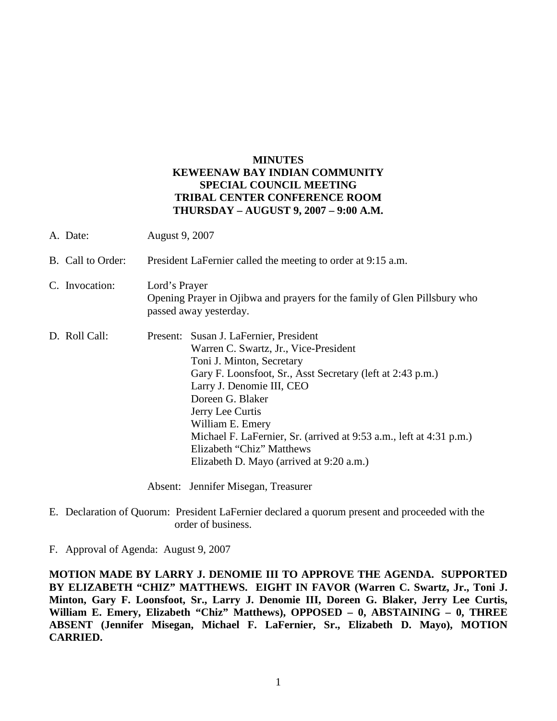### **MINUTES KEWEENAW BAY INDIAN COMMUNITY SPECIAL COUNCIL MEETING TRIBAL CENTER CONFERENCE ROOM THURSDAY – AUGUST 9, 2007 – 9:00 A.M.**

| A. Date:          | <b>August 9, 2007</b>                                                                                                                                                                                                                                                                                                                                                                                               |
|-------------------|---------------------------------------------------------------------------------------------------------------------------------------------------------------------------------------------------------------------------------------------------------------------------------------------------------------------------------------------------------------------------------------------------------------------|
| B. Call to Order: | President LaFernier called the meeting to order at 9:15 a.m.                                                                                                                                                                                                                                                                                                                                                        |
| C. Invocation:    | Lord's Prayer<br>Opening Prayer in Ojibwa and prayers for the family of Glen Pillsbury who<br>passed away yesterday.                                                                                                                                                                                                                                                                                                |
| D. Roll Call:     | Present: Susan J. LaFernier, President<br>Warren C. Swartz, Jr., Vice-President<br>Toni J. Minton, Secretary<br>Gary F. Loonsfoot, Sr., Asst Secretary (left at 2:43 p.m.)<br>Larry J. Denomie III, CEO<br>Doreen G. Blaker<br>Jerry Lee Curtis<br>William E. Emery<br>Michael F. LaFernier, Sr. (arrived at 9:53 a.m., left at 4:31 p.m.)<br>Elizabeth "Chiz" Matthews<br>Elizabeth D. Mayo (arrived at 9:20 a.m.) |

Absent: Jennifer Misegan, Treasurer

E. Declaration of Quorum: President LaFernier declared a quorum present and proceeded with the order of business.

F. Approval of Agenda: August 9, 2007

**MOTION MADE BY LARRY J. DENOMIE III TO APPROVE THE AGENDA. SUPPORTED BY ELIZABETH "CHIZ" MATTHEWS. EIGHT IN FAVOR (Warren C. Swartz, Jr., Toni J. Minton, Gary F. Loonsfoot, Sr., Larry J. Denomie III, Doreen G. Blaker, Jerry Lee Curtis, William E. Emery, Elizabeth "Chiz" Matthews), OPPOSED – 0, ABSTAINING – 0, THREE ABSENT (Jennifer Misegan, Michael F. LaFernier, Sr., Elizabeth D. Mayo), MOTION CARRIED.**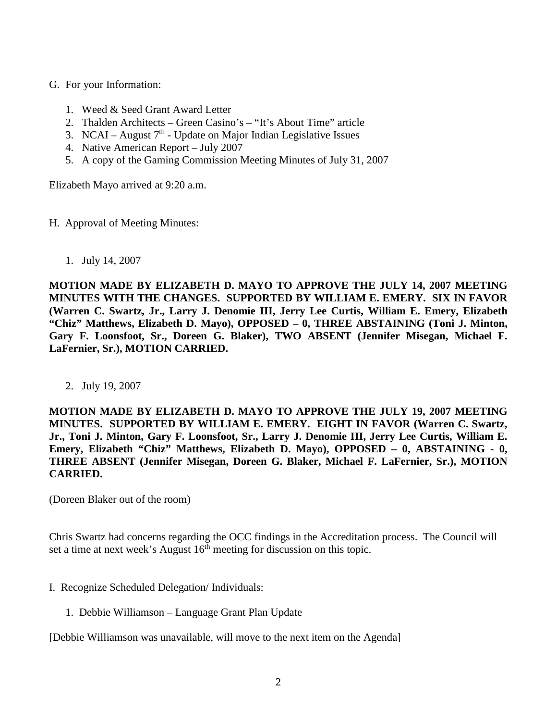- G. For your Information:
	- 1. Weed & Seed Grant Award Letter
	- 2. Thalden Architects Green Casino's "It's About Time" article
	- 3. NCAI August  $7<sup>th</sup>$  Update on Major Indian Legislative Issues
	- 4. Native American Report July 2007
	- 5. A copy of the Gaming Commission Meeting Minutes of July 31, 2007

Elizabeth Mayo arrived at 9:20 a.m.

- H. Approval of Meeting Minutes:
	- 1. July 14, 2007

**MOTION MADE BY ELIZABETH D. MAYO TO APPROVE THE JULY 14, 2007 MEETING MINUTES WITH THE CHANGES. SUPPORTED BY WILLIAM E. EMERY. SIX IN FAVOR (Warren C. Swartz, Jr., Larry J. Denomie III, Jerry Lee Curtis, William E. Emery, Elizabeth "Chiz" Matthews, Elizabeth D. Mayo), OPPOSED – 0, THREE ABSTAINING (Toni J. Minton, Gary F. Loonsfoot, Sr., Doreen G. Blaker), TWO ABSENT (Jennifer Misegan, Michael F. LaFernier, Sr.), MOTION CARRIED.**

2. July 19, 2007

**MOTION MADE BY ELIZABETH D. MAYO TO APPROVE THE JULY 19, 2007 MEETING MINUTES. SUPPORTED BY WILLIAM E. EMERY. EIGHT IN FAVOR (Warren C. Swartz, Jr., Toni J. Minton, Gary F. Loonsfoot, Sr., Larry J. Denomie III, Jerry Lee Curtis, William E. Emery, Elizabeth "Chiz" Matthews, Elizabeth D. Mayo), OPPOSED – 0, ABSTAINING - 0, THREE ABSENT (Jennifer Misegan, Doreen G. Blaker, Michael F. LaFernier, Sr.), MOTION CARRIED.**

(Doreen Blaker out of the room)

Chris Swartz had concerns regarding the OCC findings in the Accreditation process. The Council will set a time at next week's August  $16<sup>th</sup>$  meeting for discussion on this topic.

- I. Recognize Scheduled Delegation/ Individuals:
	- 1. Debbie Williamson Language Grant Plan Update

[Debbie Williamson was unavailable, will move to the next item on the Agenda]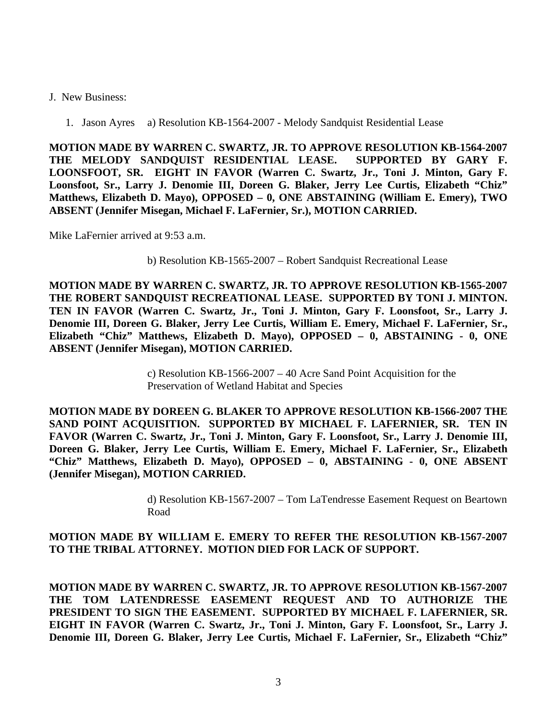#### J. New Business:

1. Jason Ayres a) Resolution KB-1564-2007 - Melody Sandquist Residential Lease

**MOTION MADE BY WARREN C. SWARTZ, JR. TO APPROVE RESOLUTION KB-1564-2007 THE MELODY SANDQUIST RESIDENTIAL LEASE. SUPPORTED BY GARY F. LOONSFOOT, SR. EIGHT IN FAVOR (Warren C. Swartz, Jr., Toni J. Minton, Gary F. Loonsfoot, Sr., Larry J. Denomie III, Doreen G. Blaker, Jerry Lee Curtis, Elizabeth "Chiz" Matthews, Elizabeth D. Mayo), OPPOSED – 0, ONE ABSTAINING (William E. Emery), TWO ABSENT (Jennifer Misegan, Michael F. LaFernier, Sr.), MOTION CARRIED.**

Mike LaFernier arrived at 9:53 a.m.

b) Resolution KB-1565-2007 – Robert Sandquist Recreational Lease

**MOTION MADE BY WARREN C. SWARTZ, JR. TO APPROVE RESOLUTION KB-1565-2007 THE ROBERT SANDQUIST RECREATIONAL LEASE. SUPPORTED BY TONI J. MINTON. TEN IN FAVOR (Warren C. Swartz, Jr., Toni J. Minton, Gary F. Loonsfoot, Sr., Larry J. Denomie III, Doreen G. Blaker, Jerry Lee Curtis, William E. Emery, Michael F. LaFernier, Sr., Elizabeth "Chiz" Matthews, Elizabeth D. Mayo), OPPOSED – 0, ABSTAINING - 0, ONE ABSENT (Jennifer Misegan), MOTION CARRIED.**

> c) Resolution KB-1566-2007 – 40 Acre Sand Point Acquisition for the Preservation of Wetland Habitat and Species

**MOTION MADE BY DOREEN G. BLAKER TO APPROVE RESOLUTION KB-1566-2007 THE SAND POINT ACQUISITION. SUPPORTED BY MICHAEL F. LAFERNIER, SR. TEN IN FAVOR (Warren C. Swartz, Jr., Toni J. Minton, Gary F. Loonsfoot, Sr., Larry J. Denomie III, Doreen G. Blaker, Jerry Lee Curtis, William E. Emery, Michael F. LaFernier, Sr., Elizabeth "Chiz" Matthews, Elizabeth D. Mayo), OPPOSED – 0, ABSTAINING - 0, ONE ABSENT (Jennifer Misegan), MOTION CARRIED.**

> d) Resolution KB-1567-2007 – Tom LaTendresse Easement Request on Beartown Road

#### **MOTION MADE BY WILLIAM E. EMERY TO REFER THE RESOLUTION KB-1567-2007 TO THE TRIBAL ATTORNEY. MOTION DIED FOR LACK OF SUPPORT.**

**MOTION MADE BY WARREN C. SWARTZ, JR. TO APPROVE RESOLUTION KB-1567-2007 THE TOM LATENDRESSE EASEMENT REQUEST AND TO AUTHORIZE THE PRESIDENT TO SIGN THE EASEMENT. SUPPORTED BY MICHAEL F. LAFERNIER, SR. EIGHT IN FAVOR (Warren C. Swartz, Jr., Toni J. Minton, Gary F. Loonsfoot, Sr., Larry J. Denomie III, Doreen G. Blaker, Jerry Lee Curtis, Michael F. LaFernier, Sr., Elizabeth "Chiz"**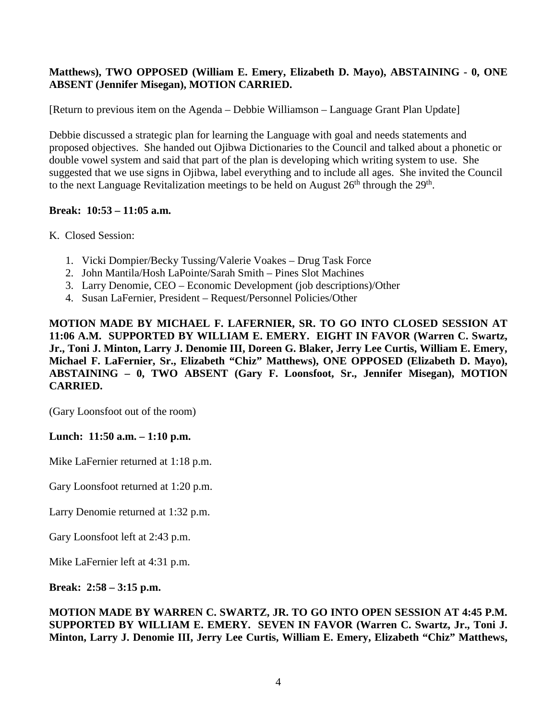## **Matthews), TWO OPPOSED (William E. Emery, Elizabeth D. Mayo), ABSTAINING - 0, ONE ABSENT (Jennifer Misegan), MOTION CARRIED.**

[Return to previous item on the Agenda – Debbie Williamson – Language Grant Plan Update]

Debbie discussed a strategic plan for learning the Language with goal and needs statements and proposed objectives. She handed out Ojibwa Dictionaries to the Council and talked about a phonetic or double vowel system and said that part of the plan is developing which writing system to use. She suggested that we use signs in Ojibwa, label everything and to include all ages. She invited the Council to the next Language Revitalization meetings to be held on August  $26<sup>th</sup>$  through the  $29<sup>th</sup>$ .

# **Break: 10:53 – 11:05 a.m.**

- K. Closed Session:
	- 1. Vicki Dompier/Becky Tussing/Valerie Voakes Drug Task Force
	- 2. John Mantila/Hosh LaPointe/Sarah Smith Pines Slot Machines
	- 3. Larry Denomie, CEO Economic Development (job descriptions)/Other
	- 4. Susan LaFernier, President Request/Personnel Policies/Other

**MOTION MADE BY MICHAEL F. LAFERNIER, SR. TO GO INTO CLOSED SESSION AT 11:06 A.M. SUPPORTED BY WILLIAM E. EMERY. EIGHT IN FAVOR (Warren C. Swartz, Jr., Toni J. Minton, Larry J. Denomie III, Doreen G. Blaker, Jerry Lee Curtis, William E. Emery, Michael F. LaFernier, Sr., Elizabeth "Chiz" Matthews), ONE OPPOSED (Elizabeth D. Mayo), ABSTAINING – 0, TWO ABSENT (Gary F. Loonsfoot, Sr., Jennifer Misegan), MOTION CARRIED.**

(Gary Loonsfoot out of the room)

## **Lunch: 11:50 a.m. – 1:10 p.m.**

Mike LaFernier returned at 1:18 p.m.

Gary Loonsfoot returned at 1:20 p.m.

Larry Denomie returned at 1:32 p.m.

Gary Loonsfoot left at 2:43 p.m.

Mike LaFernier left at 4:31 p.m.

**Break: 2:58 – 3:15 p.m.**

**MOTION MADE BY WARREN C. SWARTZ, JR. TO GO INTO OPEN SESSION AT 4:45 P.M. SUPPORTED BY WILLIAM E. EMERY. SEVEN IN FAVOR (Warren C. Swartz, Jr., Toni J. Minton, Larry J. Denomie III, Jerry Lee Curtis, William E. Emery, Elizabeth "Chiz" Matthews,**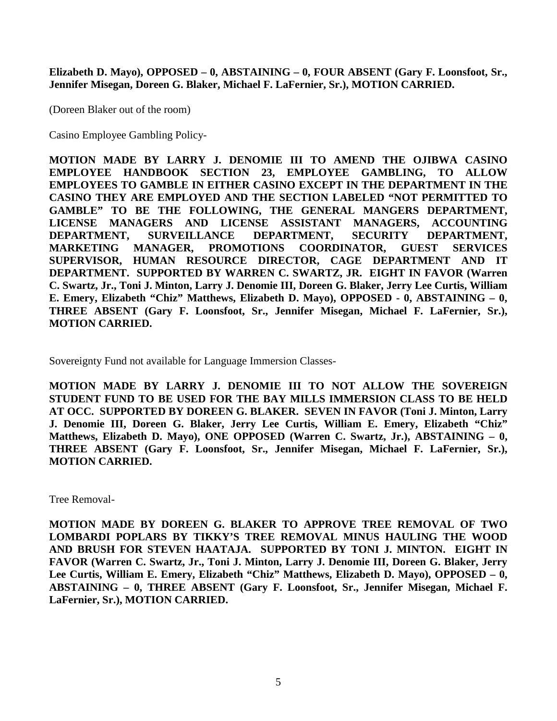**Elizabeth D. Mayo), OPPOSED – 0, ABSTAINING – 0, FOUR ABSENT (Gary F. Loonsfoot, Sr., Jennifer Misegan, Doreen G. Blaker, Michael F. LaFernier, Sr.), MOTION CARRIED.**

(Doreen Blaker out of the room)

Casino Employee Gambling Policy-

**MOTION MADE BY LARRY J. DENOMIE III TO AMEND THE OJIBWA CASINO EMPLOYEE HANDBOOK SECTION 23, EMPLOYEE GAMBLING, TO ALLOW EMPLOYEES TO GAMBLE IN EITHER CASINO EXCEPT IN THE DEPARTMENT IN THE CASINO THEY ARE EMPLOYED AND THE SECTION LABELED "NOT PERMITTED TO GAMBLE" TO BE THE FOLLOWING, THE GENERAL MANGERS DEPARTMENT, LICENSE MANAGERS AND LICENSE ASSISTANT MANAGERS, ACCOUNTING DEPARTMENT, SURVEILLANCE DEPARTMENT, SECURITY DEPARTMENT, MARKETING MANAGER, PROMOTIONS COORDINATOR, GUEST SERVICES SUPERVISOR, HUMAN RESOURCE DIRECTOR, CAGE DEPARTMENT AND IT DEPARTMENT. SUPPORTED BY WARREN C. SWARTZ, JR. EIGHT IN FAVOR (Warren C. Swartz, Jr., Toni J. Minton, Larry J. Denomie III, Doreen G. Blaker, Jerry Lee Curtis, William E. Emery, Elizabeth "Chiz" Matthews, Elizabeth D. Mayo), OPPOSED - 0, ABSTAINING – 0, THREE ABSENT (Gary F. Loonsfoot, Sr., Jennifer Misegan, Michael F. LaFernier, Sr.), MOTION CARRIED.**

Sovereignty Fund not available for Language Immersion Classes-

**MOTION MADE BY LARRY J. DENOMIE III TO NOT ALLOW THE SOVEREIGN STUDENT FUND TO BE USED FOR THE BAY MILLS IMMERSION CLASS TO BE HELD AT OCC. SUPPORTED BY DOREEN G. BLAKER. SEVEN IN FAVOR (Toni J. Minton, Larry J. Denomie III, Doreen G. Blaker, Jerry Lee Curtis, William E. Emery, Elizabeth "Chiz" Matthews, Elizabeth D. Mayo), ONE OPPOSED (Warren C. Swartz, Jr.), ABSTAINING – 0, THREE ABSENT (Gary F. Loonsfoot, Sr., Jennifer Misegan, Michael F. LaFernier, Sr.), MOTION CARRIED.**

Tree Removal-

**MOTION MADE BY DOREEN G. BLAKER TO APPROVE TREE REMOVAL OF TWO LOMBARDI POPLARS BY TIKKY'S TREE REMOVAL MINUS HAULING THE WOOD AND BRUSH FOR STEVEN HAATAJA. SUPPORTED BY TONI J. MINTON. EIGHT IN FAVOR (Warren C. Swartz, Jr., Toni J. Minton, Larry J. Denomie III, Doreen G. Blaker, Jerry Lee Curtis, William E. Emery, Elizabeth "Chiz" Matthews, Elizabeth D. Mayo), OPPOSED – 0, ABSTAINING – 0, THREE ABSENT (Gary F. Loonsfoot, Sr., Jennifer Misegan, Michael F. LaFernier, Sr.), MOTION CARRIED.**